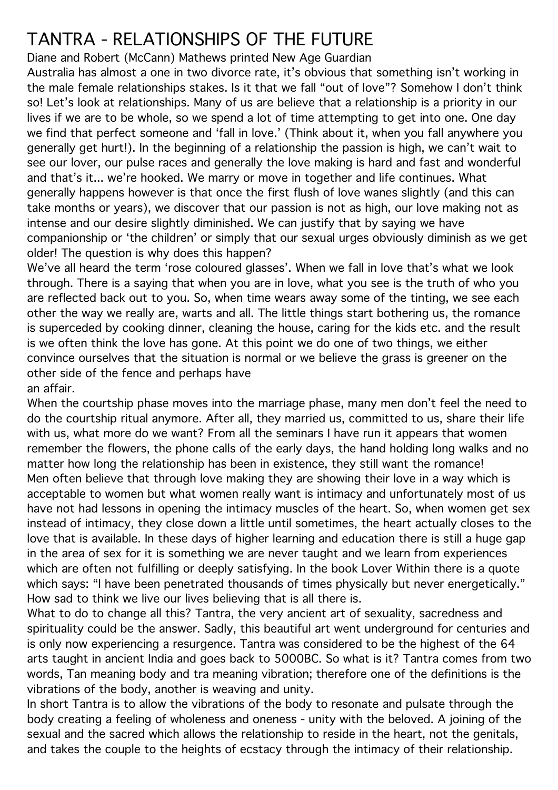## TANTRA - RELATIONSHIPS OF THE FUTURE

Diane and Robert (McCann) Mathews printed New Age Guardian

Australia has almost a one in two divorce rate, it's obvious that something isn't working in the male female relationships stakes. Is it that we fall "out of love"? Somehow I don't think so! Let's look at relationships. Many of us are believe that a relationship is a priority in our lives if we are to be whole, so we spend a lot of time attempting to get into one. One day we find that perfect someone and 'fall in love.' (Think about it, when you fall anywhere you generally get hurt!). In the beginning of a relationship the passion is high, we can't wait to see our lover, our pulse races and generally the love making is hard and fast and wonderful and that's it... we're hooked. We marry or move in together and life continues. What generally happens however is that once the first flush of love wanes slightly (and this can take months or years), we discover that our passion is not as high, our love making not as intense and our desire slightly diminished. We can justify that by saying we have companionship or 'the children' or simply that our sexual urges obviously diminish as we get older! The question is why does this happen?

We've all heard the term 'rose coloured glasses'. When we fall in love that's what we look through. There is a saying that when you are in love, what you see is the truth of who you are reflected back out to you. So, when time wears away some of the tinting, we see each other the way we really are, warts and all. The little things start bothering us, the romance is superceded by cooking dinner, cleaning the house, caring for the kids etc. and the result is we often think the love has gone. At this point we do one of two things, we either convince ourselves that the situation is normal or we believe the grass is greener on the other side of the fence and perhaps have an affair.

When the courtship phase moves into the marriage phase, many men don't feel the need to do the courtship ritual anymore. After all, they married us, committed to us, share their life with us, what more do we want? From all the seminars I have run it appears that women remember the flowers, the phone calls of the early days, the hand holding long walks and no matter how long the relationship has been in existence, they still want the romance! Men often believe that through love making they are showing their love in a way which is acceptable to women but what women really want is intimacy and unfortunately most of us have not had lessons in opening the intimacy muscles of the heart. So, when women get sex instead of intimacy, they close down a little until sometimes, the heart actually closes to the love that is available. In these days of higher learning and education there is still a huge gap in the area of sex for it is something we are never taught and we learn from experiences which are often not fulfilling or deeply satisfying. In the book Lover Within there is a quote which says: "I have been penetrated thousands of times physically but never energetically." How sad to think we live our lives believing that is all there is.

What to do to change all this? Tantra, the very ancient art of sexuality, sacredness and spirituality could be the answer. Sadly, this beautiful art went underground for centuries and is only now experiencing a resurgence. Tantra was considered to be the highest of the 64 arts taught in ancient India and goes back to 5000BC. So what is it? Tantra comes from two words, Tan meaning body and tra meaning vibration; therefore one of the definitions is the vibrations of the body, another is weaving and unity.

In short Tantra is to allow the vibrations of the body to resonate and pulsate through the body creating a feeling of wholeness and oneness - unity with the beloved. A joining of the sexual and the sacred which allows the relationship to reside in the heart, not the genitals, and takes the couple to the heights of ecstacy through the intimacy of their relationship.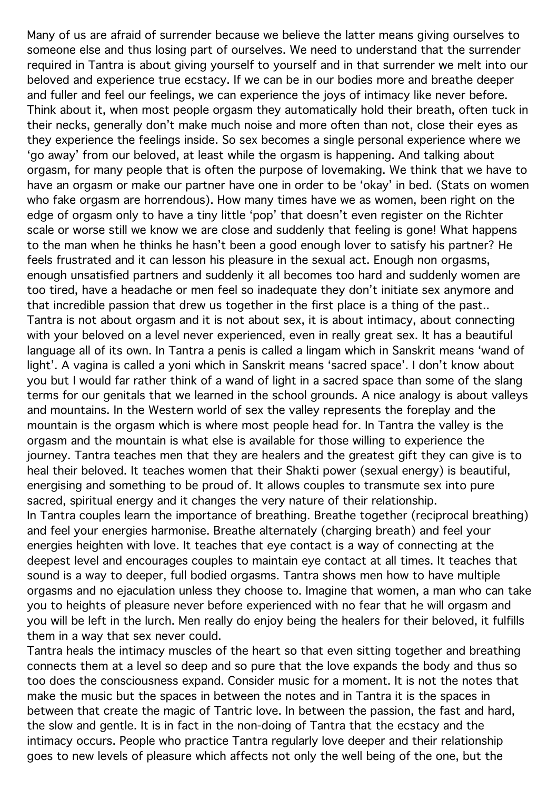Many of us are afraid of surrender because we believe the latter means giving ourselves to someone else and thus losing part of ourselves. We need to understand that the surrender required in Tantra is about giving yourself to yourself and in that surrender we melt into our beloved and experience true ecstacy. If we can be in our bodies more and breathe deeper and fuller and feel our feelings, we can experience the joys of intimacy like never before. Think about it, when most people orgasm they automatically hold their breath, often tuck in their necks, generally don't make much noise and more often than not, close their eyes as they experience the feelings inside. So sex becomes a single personal experience where we 'go away' from our beloved, at least while the orgasm is happening. And talking about orgasm, for many people that is often the purpose of lovemaking. We think that we have to have an orgasm or make our partner have one in order to be 'okay' in bed. (Stats on women who fake orgasm are horrendous). How many times have we as women, been right on the edge of orgasm only to have a tiny little 'pop' that doesn't even register on the Richter scale or worse still we know we are close and suddenly that feeling is gone! What happens to the man when he thinks he hasn't been a good enough lover to satisfy his partner? He feels frustrated and it can lesson his pleasure in the sexual act. Enough non orgasms, enough unsatisfied partners and suddenly it all becomes too hard and suddenly women are too tired, have a headache or men feel so inadequate they don't initiate sex anymore and that incredible passion that drew us together in the first place is a thing of the past.. Tantra is not about orgasm and it is not about sex, it is about intimacy, about connecting with your beloved on a level never experienced, even in really great sex. It has a beautiful language all of its own. In Tantra a penis is called a lingam which in Sanskrit means 'wand of light'. A vagina is called a yoni which in Sanskrit means 'sacred space'. I don't know about you but I would far rather think of a wand of light in a sacred space than some of the slang terms for our genitals that we learned in the school grounds. A nice analogy is about valleys and mountains. In the Western world of sex the valley represents the foreplay and the mountain is the orgasm which is where most people head for. In Tantra the valley is the orgasm and the mountain is what else is available for those willing to experience the journey. Tantra teaches men that they are healers and the greatest gift they can give is to heal their beloved. It teaches women that their Shakti power (sexual energy) is beautiful, energising and something to be proud of. It allows couples to transmute sex into pure sacred, spiritual energy and it changes the very nature of their relationship. In Tantra couples learn the importance of breathing. Breathe together (reciprocal breathing) and feel your energies harmonise. Breathe alternately (charging breath) and feel your energies heighten with love. It teaches that eye contact is a way of connecting at the deepest level and encourages couples to maintain eye contact at all times. It teaches that sound is a way to deeper, full bodied orgasms. Tantra shows men how to have multiple orgasms and no ejaculation unless they choose to. Imagine that women, a man who can take you to heights of pleasure never before experienced with no fear that he will orgasm and you will be left in the lurch. Men really do enjoy being the healers for their beloved, it fulfills them in a way that sex never could.

Tantra heals the intimacy muscles of the heart so that even sitting together and breathing connects them at a level so deep and so pure that the love expands the body and thus so too does the consciousness expand. Consider music for a moment. It is not the notes that make the music but the spaces in between the notes and in Tantra it is the spaces in between that create the magic of Tantric love. In between the passion, the fast and hard, the slow and gentle. It is in fact in the non-doing of Tantra that the ecstacy and the intimacy occurs. People who practice Tantra regularly love deeper and their relationship goes to new levels of pleasure which affects not only the well being of the one, but the